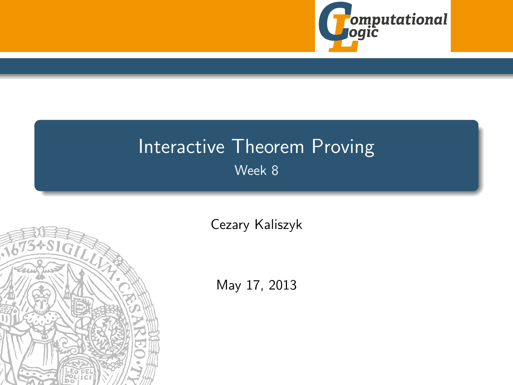

## Interactive Theorem Proving Week 8

<span id="page-0-0"></span>

[Cezary Kaliszyk](http://cl-informatik.uibk.ac.at/~cek)

May 17, 2013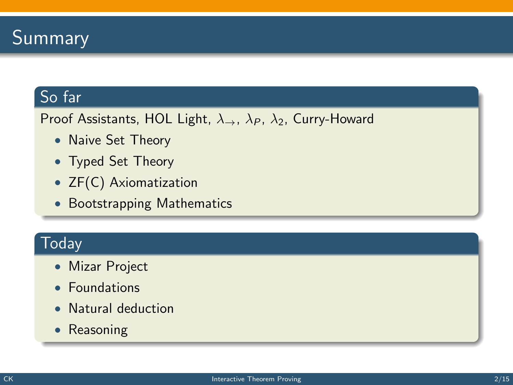

### So far

Proof Assistants, HOL Light,  $\lambda_{\rightarrow}$ ,  $\lambda_{P}$ ,  $\lambda_{2}$ , Curry-Howard

- Naive Set Theory
- Typed Set Theory
- ZF(C) Axiomatization
- Bootstrapping Mathematics

### **Today**

- Mizar Project
- Foundations
- Natural deduction
- Reasoning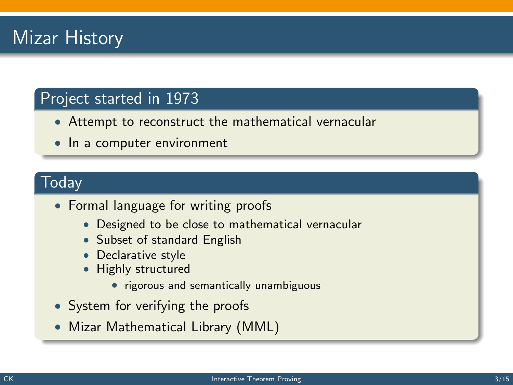## Mizar History

### Project started in 1973

- Attempt to reconstruct the mathematical vernacular
- In a computer environment

### Today

- Formal language for writing proofs
	- Designed to be close to mathematical vernacular
	- Subset of standard English
	- Declarative style
	- Highly structured
		- rigorous and semantically unambiguous
- System for verifying the proofs
- Mizar Mathematical Library (MML)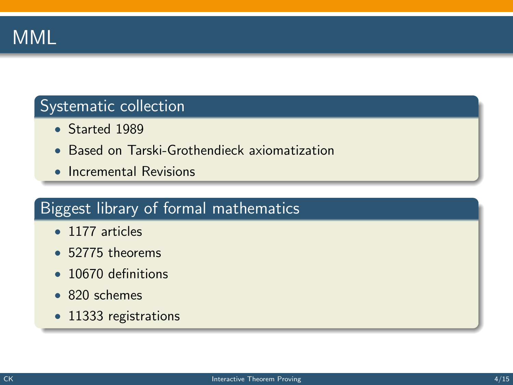

### Systematic collection

- Started 1989
- Based on Tarski-Grothendieck axiomatization
- Incremental Revisions

### Biggest library of formal mathematics

- 1177 articles
- 52775 theorems
- 10670 definitions
- 820 schemes
- 11333 registrations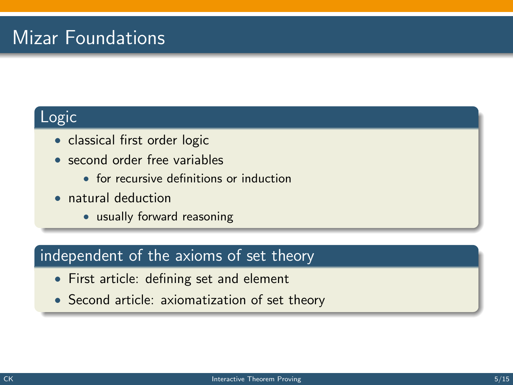## Mizar Foundations

### Logic

- classical first order logic
- second order free variables
	- for recursive definitions or induction
- natural deduction
	- usually forward reasoning

### independent of the axioms of set theory

- First article: defining set and element
- Second article: axiomatization of set theory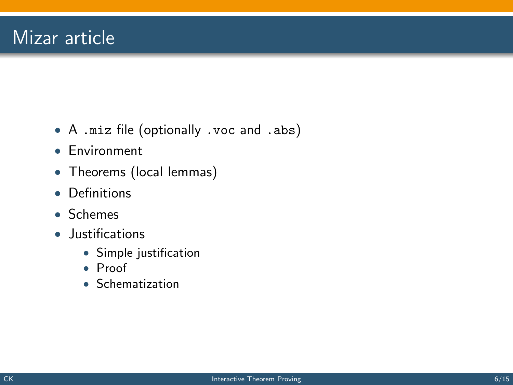- A .miz file (optionally .voc and .abs)
- Environment
- Theorems (local lemmas)
- Definitions
- Schemes
- Justifications
	- Simple justification
	- Proof
	- Schematization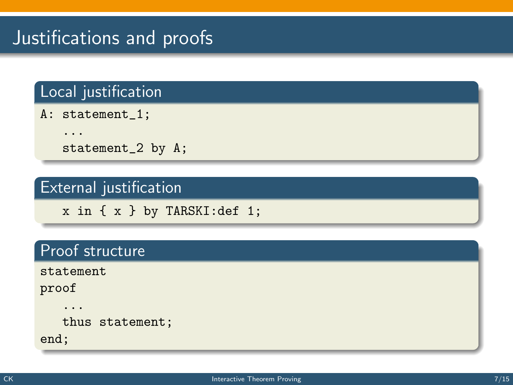## Justifications and proofs

### Local justification

A: statement\_1;

...

statement\_2 by A;

### External justification

x in { x } by TARSKI:def 1;

### Proof structure

statement

proof

...

thus statement;

end;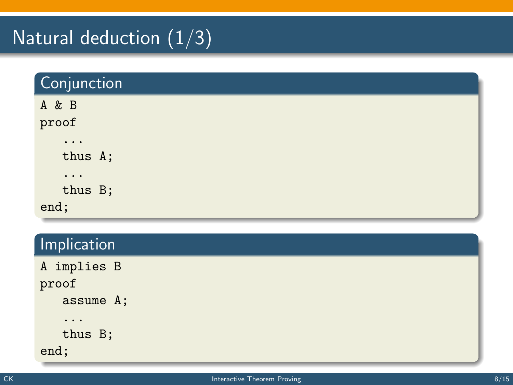## Natural deduction  $(1/3)$

| Conjunction |  |
|-------------|--|
| A & B       |  |
| proof       |  |
| $\cdots$    |  |
| thus A;     |  |
| $\cdots$    |  |
| thus B;     |  |
| end;        |  |

### **Implication**

| A implies B |
|-------------|
| proof       |
| assume A;   |
| .           |
| thus B;     |
| end;        |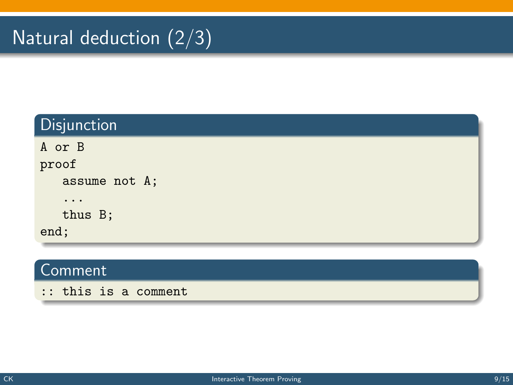## Natural deduction  $\overline{(2/3)}$

| Disjunction   |
|---------------|
| A or B        |
| proof         |
| assume not A; |
| $\ddotsc$     |
| thus B;       |
| end;          |

### Comment

:: this is a comment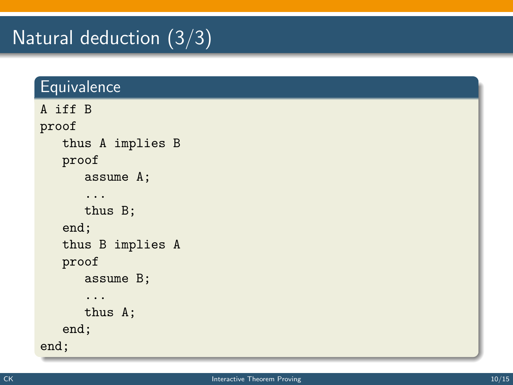## Natural deduction (3/3)

### **Equivalence**

```
A iff B
proof
   thus A implies B
   proof
      assume A;
      ...
      thus B;
   end;
   thus B implies A
   proof
      assume B;
      ...
      thus A;
   end;
end;
```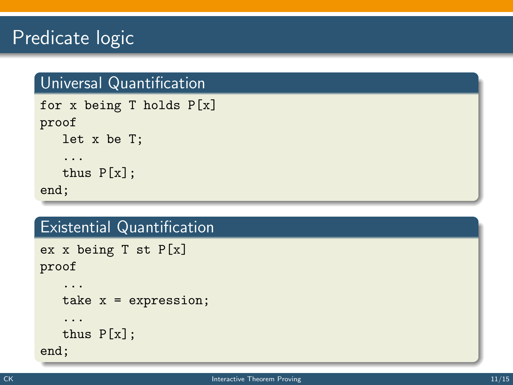## Predicate logic

### Universal Quantification

```
for x being T holds P[x]
proof
   let x be T;
   ...
   thus P[x];
end;
```
### Existential Quantification

```
ex x being T st P[x]
proof
```

```
...
   take x = expression;
   ...
   thus P[x];
end;
```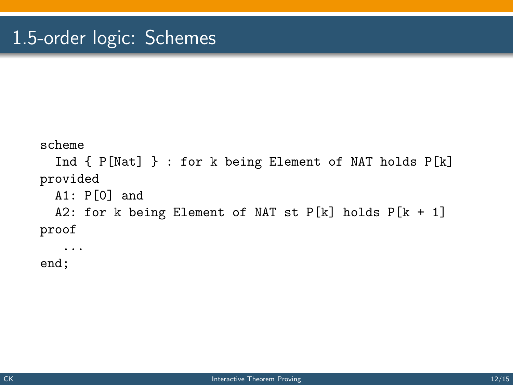```
scheme
  Ind { P[Nat] } : for k being Element of NAT holds P[k]
provided
  A1: P[0] and
  A2: for k being Element of NAT st P[k] holds P[k + 1]proof
   ...
```
end;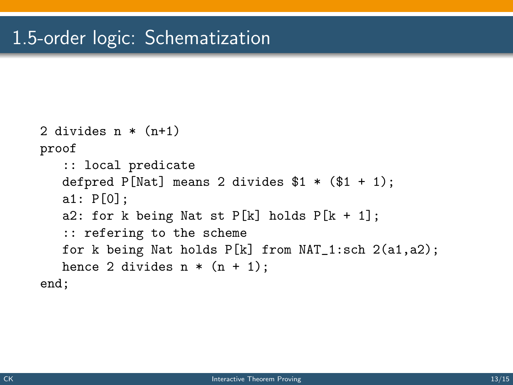```
2 divides n * (n+1)proof
   :: local predicate
   defpred P[Nat] means 2 divides $1 * ($1 + 1);a1: P[0];
   a2: for k being Nat st P[k] holds P[k + 1];
   :: refering to the scheme
   for k being Nat holds P[k] from NAT_1:sch 2(a1,a2);
   hence 2 divides n * (n + 1);
end;
```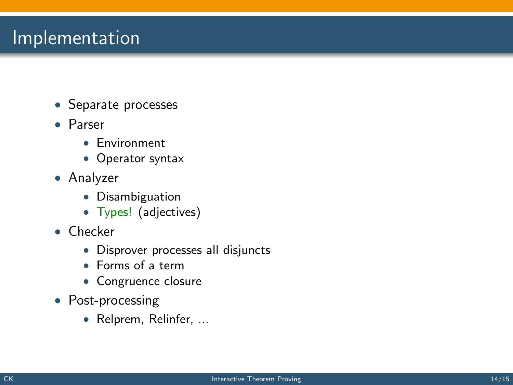### **Implementation**

- Separate processes
- Parser
	- Environment
	- Operator syntax
- Analyzer
	- Disambiguation
	- Types! (adjectives)
- Checker
	- Disprover processes all disjuncts
	- Forms of a term
	- Congruence closure
- Post-processing
	- Relprem, Relinfer, ...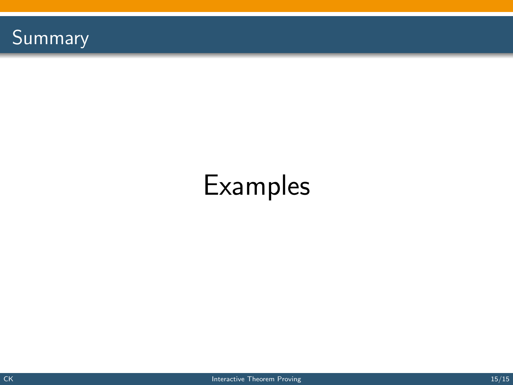

# Examples